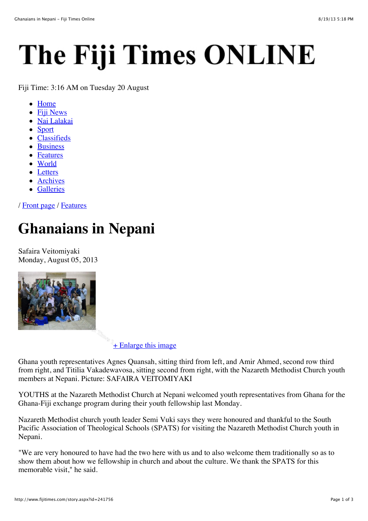# The Fiji Times ONLINE

Fiji Time: 3:16 AM on Tuesday 20 August

- Home
- Fiji News
- Nai Lalakai
- Sport
- Classifieds
- Business
- Features
- World
- Letters
- Archives
- Galleries

/ Front page / Features

# **Ghanaians in Nepani**

Safaira Veitomiyaki Monday, August 05, 2013



+ Enlarge this image

Ghana youth representatives Agnes Quansah, sitting third from left, and Amir Ahmed, second row third from right, and Titilia Vakadewavosa, sitting second from right, with the Nazareth Methodist Church youth members at Nepani. Picture: SAFAIRA VEITOMIYAKI

YOUTHS at the Nazareth Methodist Church at Nepani welcomed youth representatives from Ghana for the Ghana-Fiji exchange program during their youth fellowship last Monday.

Nazareth Methodist church youth leader Semi Vuki says they were honoured and thankful to the South Pacific Association of Theological Schools (SPATS) for visiting the Nazareth Methodist Church youth in Nepani.

"We are very honoured to have had the two here with us and to also welcome them traditionally so as to show them about how we fellowship in church and about the culture. We thank the SPATS for this memorable visit," he said.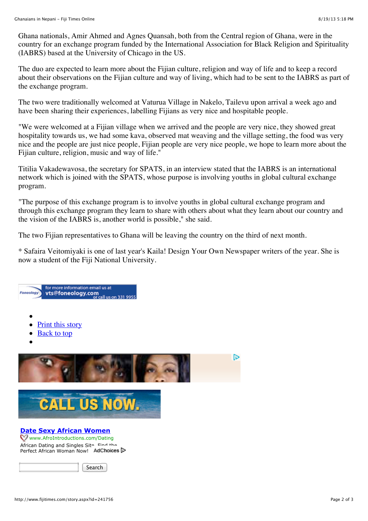Ghana nationals, Amir Ahmed and Agnes Quansah, both from the Central region of Ghana, were in the country for an exchange program funded by the International Association for Black Religion and Spirituality (IABRS) based at the University of Chicago in the US.

The duo are expected to learn more about the Fijian culture, religion and way of life and to keep a record about their observations on the Fijian culture and way of living, which had to be sent to the IABRS as part of the exchange program.

The two were traditionally welcomed at Vaturua Village in Nakelo, Tailevu upon arrival a week ago and have been sharing their experiences, labelling Fijians as very nice and hospitable people.

"We were welcomed at a Fijian village when we arrived and the people are very nice, they showed great hospitality towards us, we had some kava, observed mat weaving and the village setting, the food was very nice and the people are just nice people, Fijian people are very nice people, we hope to learn more about the Fijian culture, religion, music and way of life."

Titilia Vakadewavosa, the secretary for SPATS, in an interview stated that the IABRS is an international network which is joined with the SPATS, whose purpose is involving youths in global cultural exchange program.

"The purpose of this exchange program is to involve youths in global cultural exchange program and through this exchange program they learn to share with others about what they learn about our country and the vision of the IABRS is, another world is possible," she said.

The two Fijian representatives to Ghana will be leaving the country on the third of next month.

\* Safaira Veitomiyaki is one of last year's Kaila! Design Your Own Newspaper writers of the year. She is now a student of the Fiji National University.

## for more information email us at for more information email us at<br>**vts@foneology.com**<br>or call us on 331 9955

- 
- Print this story
- Back to top
- 





#### **Date Sexy African Women**

Www.AfroIntroductions.com/Dating African Dating and Singles Site. Find the Perfect African Woman Now! AdChoices